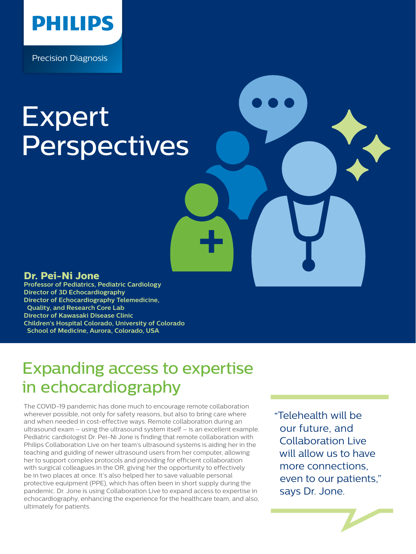

Precision Diagnosis

# Expert **Perspectives**

#### **Dr. Pei-Ni Jone**

**Professor of Pediatrics, Pediatric Cardiology Director of 3D Echocardiography Director of Echocardiography Telemedicine, Quality, and Research Core Lab Director of Kawasaki Disease Clinic Children's Hospital Colorado, University of Colorado School of Medicine, Aurora, Colorado, USA**

# Expanding access to expertise in echocardiography

The COVID-19 pandemic has done much to encourage remote collaboration wherever possible, not only for safety reasons, but also to bring care where and when needed in cost-effective ways. Remote collaboration during an ultrasound exam – using the ultrasound system itself – is an excellent example. Pediatric cardiologist Dr. Pei-Ni Jone is finding that remote collaboration with Philips Collaboration Live on her team's ultrasound systems is aiding her in the teaching and guiding of newer ultrasound users from her computer, allowing her to support complex protocols and providing for efficient collaboration with surgical colleagues in the OR, giving her the opportunity to effectively be in two places at once. It's also helped her to save valuable personal protective equipment (PPE), which has often been in short supply during the pandemic. Dr. Jone is using Collaboration Live to expand access to expertise in echocardiography, enhancing the experience for the healthcare team, and also, ultimately for patients.

Telehealth will be **"** our future, and Collaboration Live will allow us to have more connections, even to our patients," says Dr. Jone.

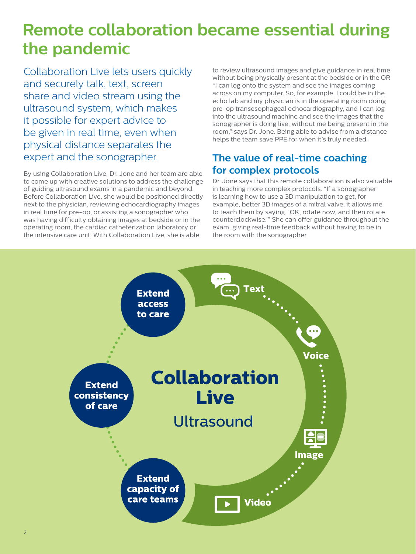# **Remote collaboration became essential during the pandemic**

Collaboration Live lets users quickly and securely talk, text, screen share and video stream using the ultrasound system, which makes it possible for expert advice to be given in real time, even when physical distance separates the expert and the sonographer.

By using Collaboration Live, Dr. Jone and her team are able to come up with creative solutions to address the challenge of guiding ultrasound exams in a pandemic and beyond. Before Collaboration Live, she would be positioned directly next to the physician, reviewing echocardiography images in real time for pre-op, or assisting a sonographer who was having difficulty obtaining images at bedside or in the operating room, the cardiac catheterization laboratory or the intensive care unit. With Collaboration Live, she is able

to review ultrasound images and give guidance in real time without being physically present at the bedside or in the OR "I can log onto the system and see the images coming across on my computer. So, for example, I could be in the echo lab and my physician is in the operating room doing pre-op transesophageal echocardiography, and I can log into the ultrasound machine and see the images that the sonographer is doing live, without me being present in the room," says Dr. Jone. Being able to advise from a distance helps the team save PPE for when it's truly needed.

## **The value of real-time coaching for complex protocols**

Dr. Jone says that this remote collaboration is also valuable in teaching more complex protocols. "If a sonographer is learning how to use a 3D manipulation to get, for example, better 3D images of a mitral valve, it allows me to teach them by saying, 'OK, rotate now, and then rotate counterclockwise.'" She can offer guidance throughout the exam, giving real-time feedback without having to be in the room with the sonographer.

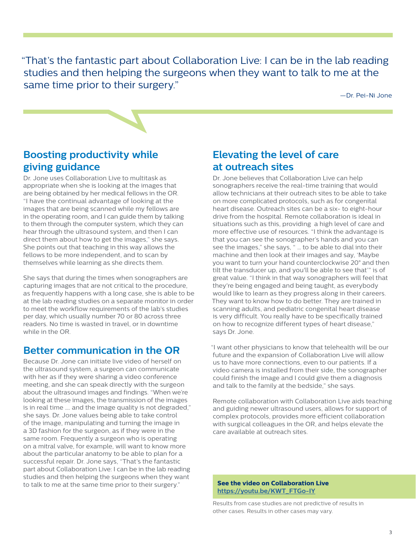"That's the fantastic part about Collaboration Live: I can be in the lab reading studies and then helping the surgeons when they want to talk to me at the same time prior to their surgery."

—Dr. Pei-Ni Jone

### **Boosting productivity while giving guidance**

Dr. Jone uses Collaboration Live to multitask as appropriate when she is looking at the images that are being obtained by her medical fellows in the OR. "I have the continual advantage of looking at the images that are being scanned while my fellows are in the operating room, and I can guide them by talking to them through the computer system, which they can hear through the ultrasound system, and then I can direct them about how to get the images," she says. She points out that teaching in this way allows the fellows to be more independent, and to scan by themselves while learning as she directs them.

She says that during the times when sonographers are capturing images that are not critical to the procedure, as frequently happens with a long case, she is able to be at the lab reading studies on a separate monitor in order to meet the workflow requirements of the lab's studies per day, which usually number 70 or 80 across three readers. No time is wasted in travel, or in downtime while in the OR.

#### **Better communication in the OR**

Because Dr. Jone can initiate live video of herself on the ultrasound system, a surgeon can communicate with her as if they were sharing a video conference meeting, and she can speak directly with the surgeon about the ultrasound images and findings. "When we're looking at these images, the transmission of the images is in real time …. and the image quality is not degraded," she says. Dr. Jone values being able to take control of the image, manipulating and turning the image in a 3D fashion for the surgeon, as if they were in the same room. Frequently a surgeon who is operating on a mitral valve, for example, will want to know more about the particular anatomy to be able to plan for a successful repair. Dr. Jone says, "That's the fantastic part about Collaboration Live: I can be in the lab reading studies and then helping the surgeons when they want to talk to me at the same time prior to their surgery."

### **Elevating the level of care at outreach sites**

Dr. Jone believes that Collaboration Live can help sonographers receive the real-time training that would allow technicians at their outreach sites to be able to take on more complicated protocols, such as for congenital heart disease. Outreach sites can be a six- to eight-hour drive from the hospital. Remote collaboration is ideal in situations such as this, providing a high level of care and more effective use of resources. "I think the advantage is that you can see the sonographer's hands and you can see the images," she says, " … to be able to dial into their machine and then look at their images and say, 'Maybe you want to turn your hand counterclockwise 20° and then tilt the transducer up, and you'll be able to see that'" is of great value. "I think in that way sonographers will feel that they're being engaged and being taught, as everybody would like to learn as they progress along in their careers. They want to know how to do better. They are trained in scanning adults, and pediatric congenital heart disease is very difficult. You really have to be specifically trained on how to recognize different types of heart disease," says Dr. Jone.

"I want other physicians to know that telehealth will be our future and the expansion of Collaboration Live will allow us to have more connections, even to our patients. If a video camera is installed from their side, the sonographer could finish the image and I could give them a diagnosis and talk to the family at the bedside," she says.

Remote collaboration with Collaboration Live aids teaching and guiding newer ultrasound users, allows for support of complex protocols, provides more efficient collaboration with surgical colleagues in the OR, and helps elevate the care available at outreach sites.

#### **See the video on Collaboration Live [https://youtu.be/KWT\\_FTGo-IY](https://youtu.be/KWT_FTGo-IY)**

Results from case studies are not predictive of results in other cases. Results in other cases may vary.